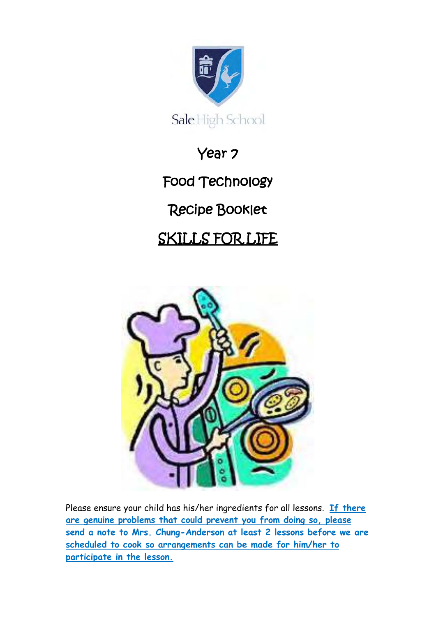

Year 7 Food Technology Recipe Booklet SKILLS FOR LIFE



Please ensure your child has his/her ingredients for all lessons. **If there are genuine problems that could prevent you from doing so, please send a note to Mrs. Chung-Anderson at least 2 lessons before we are scheduled to cook so arrangements can be made for him/her to participate in the lesson.**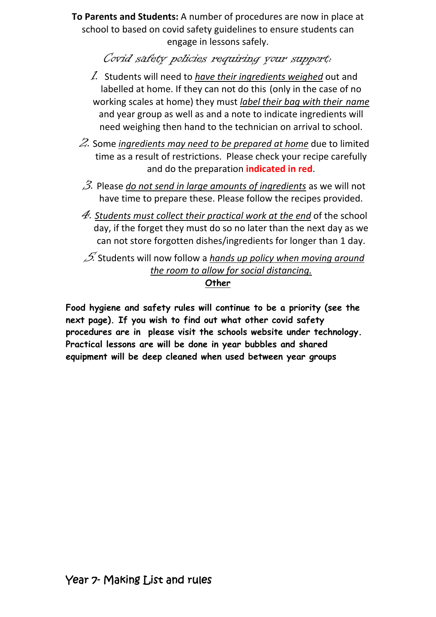**To Parents and Students:** A number of procedures are now in place at school to based on covid safety guidelines to ensure students can engage in lessons safely.

Covid safety policies requiring your support:

- 1. Students will need to *have their ingredients weighed* out and labelled at home. If they can not do this (only in the case of no working scales at home) they must *label their bag with their name* and year group as well as and a note to indicate ingredients will need weighing then hand to the technician on arrival to school.
- 2. Some *ingredients may need to be prepared at home* due to limited time as a result of restrictions. Please check your recipe carefully and do the preparation **indicated in red**.
- 3. Please *do not send in large amounts of ingredients* as we will not have time to prepare these. Please follow the recipes provided.
- 4. *Students must collect their practical work at the end* of the school day, if the forget they must do so no later than the next day as we can not store forgotten dishes/ingredients for longer than 1 day.

5. Students will now follow a *hands up policy when moving around the room to allow for social distancing.*

#### **Other**

**Food hygiene and safety rules will continue to be a priority (see the next page). If you wish to find out what other covid safety procedures are in please visit the schools website under technology. Practical lessons are will be done in year bubbles and shared equipment will be deep cleaned when used between year groups**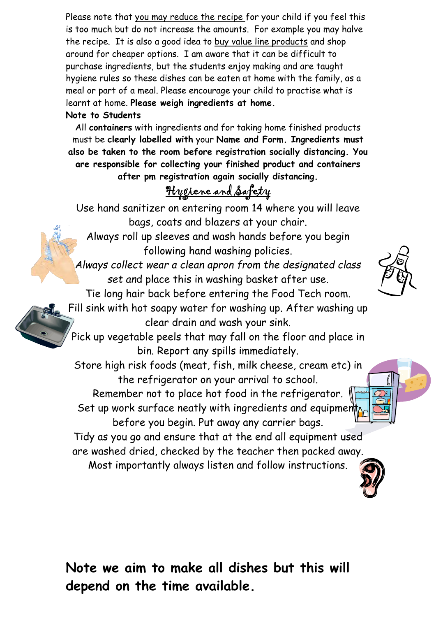Please note that you may reduce the recipe for your child if you feel this is too much but do not increase the amounts. For example you may halve the recipe. It is also a good idea to buy value line products and shop around for cheaper options. I am aware that it can be difficult to purchase ingredients, but the students enjoy making and are taught hygiene rules so these dishes can be eaten at home with the family, as a meal or part of a meal. Please encourage your child to practise what is learnt at home. **Please weigh ingredients at home.**

#### **Note to Students**

All **containers** with ingredients and for taking home finished products must be **clearly labelled with** your **Name and Form. Ingredients must also be taken to the room before registration socially distancing. You are responsible for collecting your finished product and containers after pm registration again socially distancing.** 

# Hygiene and Safety

Use hand sanitizer on entering room 14 where you will leave bags, coats and blazers at your chair.

Always roll up sleeves and wash hands before you begin following hand washing policies.

*Always collect wear a clean apron from the designated class set an*d place this in washing basket after use.

Tie long hair back before entering the Food Tech room. Fill sink with hot soapy water for washing up. After washing up clear drain and wash your sink.

Pick up vegetable peels that may fall on the floor and place in bin. Report any spills immediately.

Store high risk foods (meat, fish, milk cheese, cream etc) in the refrigerator on your arrival to school. Remember not to place hot food in the refrigerator.  $\sqrt{m}$ 

Set up work surface neatly with ingredients and equipment before you begin. Put away any carrier bags.

Tidy as you go and ensure that at the end all equipment used are washed dried, checked by the teacher then packed away.

Most importantly always listen and follow instructions.



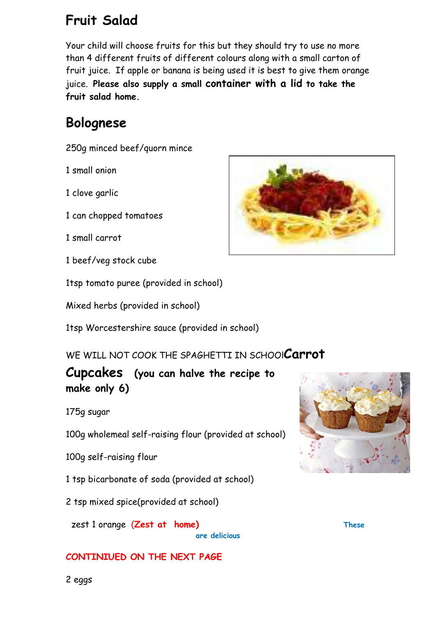## **Fruit Salad**

Your child will choose fruits for this but they should try to use no more than 4 different fruits of different colours along with a small carton of fruit juice. If apple or banana is being used it is best to give them orange juice. **Please also supply a small container with a lid to take the fruit salad home.**

## **Bolognese**

250g minced beef/quorn mince

1 small onion

1 clove garlic

- 1 can chopped tomatoes
- 1 small carrot
- 1 beef/veg stock cube

1tsp tomato puree (provided in school)

Mixed herbs (provided in school)

1tsp Worcestershire sauce (provided in school)

WE WILL NOT COOK THE SPAGHETTI IN SCHOOl**Carrot** 

**Cupcakes (you can halve the recipe to make only 6)** 

175g sugar

100g wholemeal self-raising flour (provided at school)

100g self-raising flour

1 tsp bicarbonate of soda (provided at school)

2 tsp mixed spice(provided at school)

zest 1 orange (**Zest at home) These** 

**are delicious** 

#### **CONTINIUED ON THE NEXT PAGE**





2 eggs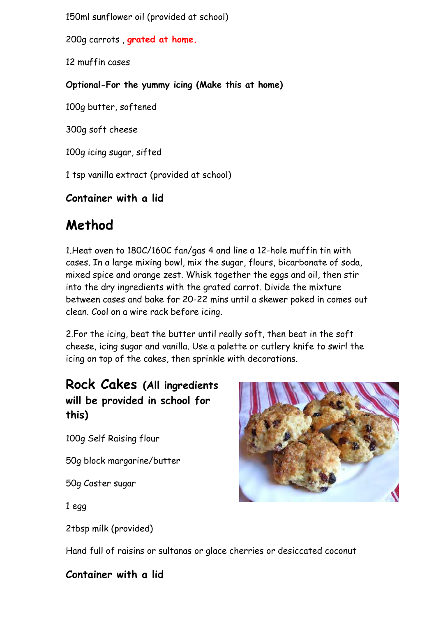150ml sunflower oil (provided at school)

200g carrots , **grated at home.** 

12 muffin cases

#### **Optional-For the yummy icing (Make this at home)**

100g butter, softened

300g soft cheese

100g icing sugar, sifted

1 tsp vanilla extract (provided at school)

### **Container with a lid**

## **Method**

1.Heat oven to 180C/160C fan/gas 4 and line a 12-hole muffin tin with cases. In a large mixing bowl, mix the sugar, flours, bicarbonate of soda, mixed spice and orange zest. Whisk together the eggs and oil, then stir into the dry ingredients with the grated carrot. Divide the mixture between cases and bake for 20-22 mins until a skewer poked in comes out clean. Cool on a wire rack before icing.

2.For the icing, beat the butter until really soft, then beat in the soft cheese, icing sugar and vanilla. Use a palette or cutlery knife to swirl the icing on top of the cakes, then sprinkle with decorations.

### **Rock Cakes (All ingredients will be provided in school for this)**

100g Self Raising flour

50g block margarine/butter

50g Caster sugar

1 egg

2tbsp milk (provided)



Hand full of raisins or sultanas or glace cherries or desiccated coconut

#### **Container with a lid**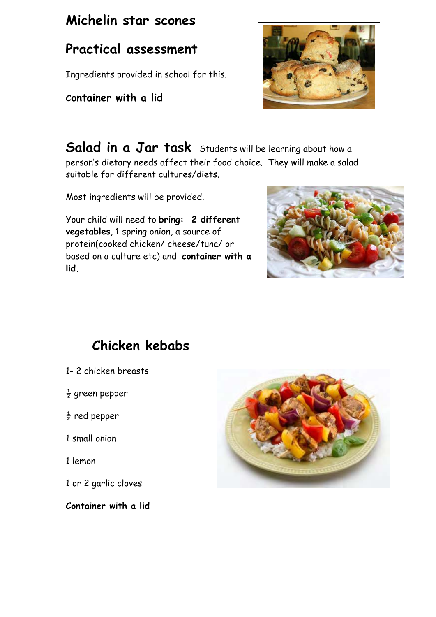## **Michelin star scones**

## **Practical assessment**

Ingredients provided in school for this.

### **Container with a lid**

Salad in a Jar task Students will be learning about how a person's dietary needs affect their food choice. They will make a salad suitable for different cultures/diets.

Most ingredients will be provided.

Your child will need to **bring: 2 different vegetables**, 1 spring onion, a source of protein(cooked chicken/ cheese/tuna/ or based on a culture etc) and **container with a lid.**



# **Chicken kebabs**

- 1- 2 chicken breasts
- $\frac{1}{2}$  green pepper
- $rac{1}{2}$  red pepper
- 1 small onion
- 1 lemon
- 1 or 2 garlic cloves

**Container with a lid**